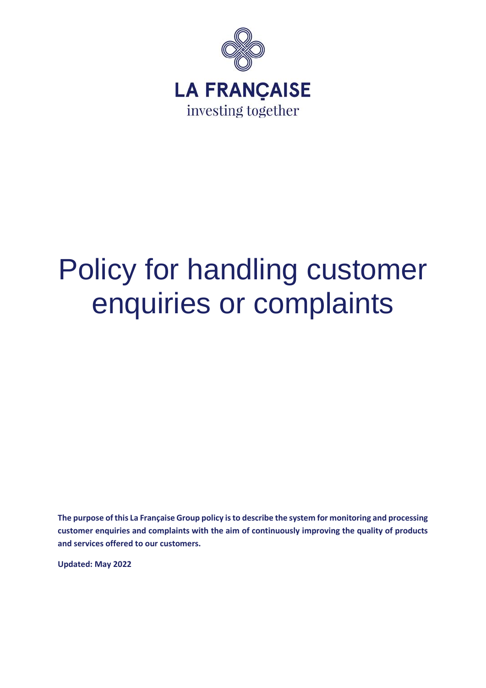

# Policy for handling customer enquiries or complaints

**The purpose of this La Française Group policy is to describe the system for monitoring and processing customer enquiries and complaints with the aim of continuously improving the quality of products and services offered to our customers.** 

**Updated: May 2022**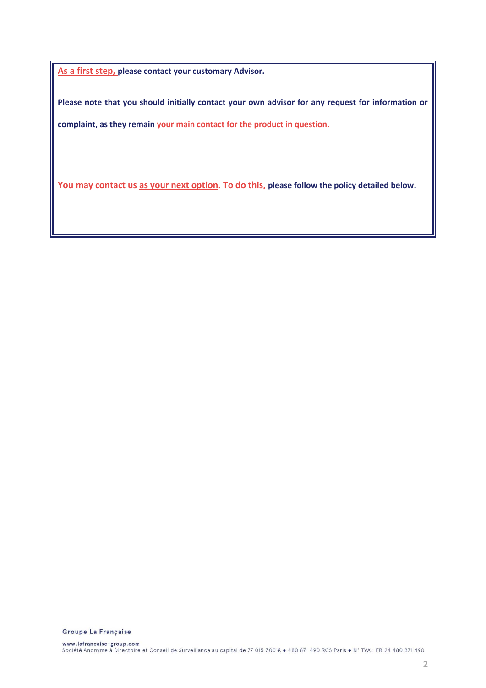**As a first step, please contact your customary Advisor.**

**Please note that you should initially contact your own advisor for any request for information or complaint, as they remain your main contact for the product in question.**

You may contact us as your next option. To do this, please follow the policy detailed below.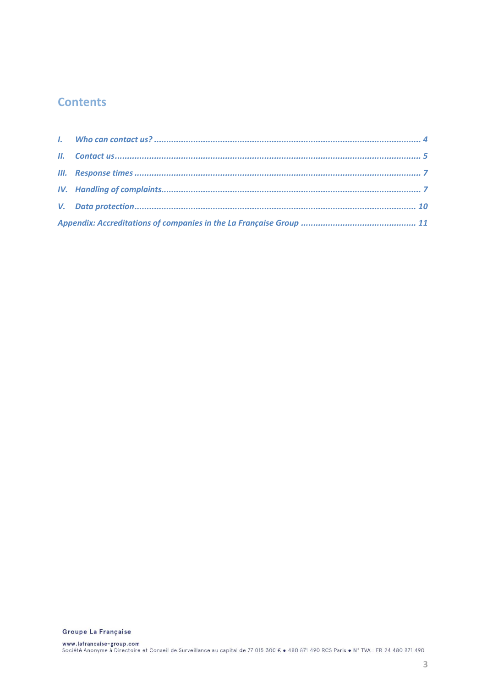# **Contents**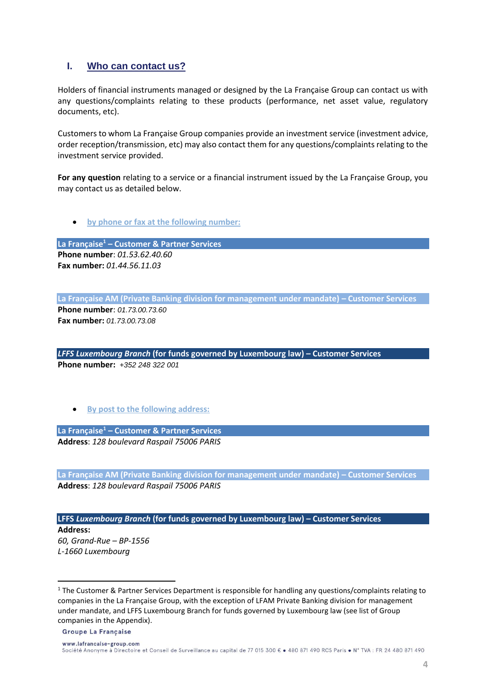# <span id="page-3-0"></span>**I. Who can contact us?**

Holders of financial instruments managed or designed by the La Française Group can contact us with any questions/complaints relating to these products (performance, net asset value, regulatory documents, etc).

Customers to whom La Française Group companies provide an investment service (investment advice, order reception/transmission, etc) may also contact them for any questions/complaints relating to the investment service provided.

**For any question** relating to a service or a financial instrument issued by the La Française Group, you may contact us as detailed below.

• **by phone or fax at the following number:** 

**La Française<sup>1</sup> – Customer & Partner Services Phone number**: *01.53.62.40.60* **Fax number:** *01.44.56.11.03*

**La Française AM (Private Banking division for management under mandate) – Customer Services**

**Phone number**: *01.73.00.73.60* **Fax number:** *01.73.00.73.08*

*LFFS Luxembourg Branch* **(for funds governed by Luxembourg law) – Customer Services Phone number:** *+352 248 322 001* 

• **By post to the following address:** 

**La Française<sup>1</sup> – Customer & Partner Services Address**: *128 boulevard Raspail 75006 PARIS*

**La Française AM (Private Banking division for management under mandate) – Customer Services Address**: *128 boulevard Raspail 75006 PARIS*

**LFFS** *Luxembourg Branch* **(for funds governed by Luxembourg law) – Customer Services** 

**Address:** *60, Grand-Rue – BP-1556 L-1660 Luxembourg*

<sup>&</sup>lt;sup>1</sup> The Customer & Partner Services Department is responsible for handling any questions/complaints relating to companies in the La Française Group, with the exception of LFAM Private Banking division for management under mandate, and LFFS Luxembourg Branch for funds governed by Luxembourg law (see list of Group companies in the Appendix).

**Groupe La Francaise**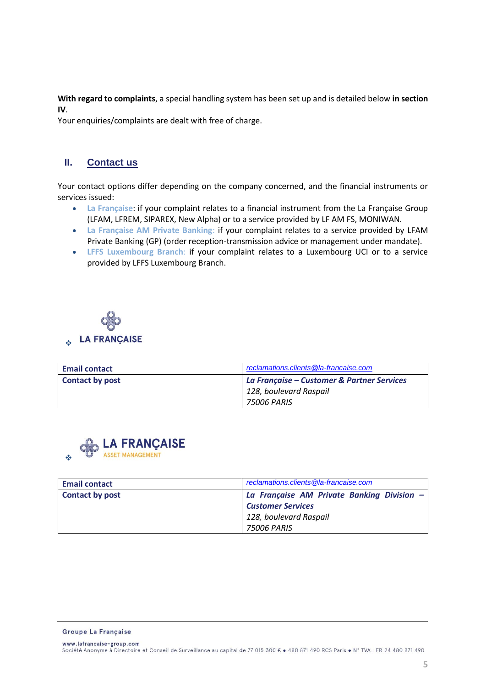**With regard to complaints**, a special handling system has been set up and is detailed below **in section [IV](#page-6-1)**.

<span id="page-4-0"></span>Your enquiries/complaints are dealt with free of charge.

# **II. Contact us**

Your contact options differ depending on the company concerned, and the financial instruments or services issued:

- **La Française**: if your complaint relates to a financial instrument from the La Française Group (LFAM, LFREM, SIPAREX, New Alpha) or to a service provided by LF AM FS, MONIWAN.
- **La Française AM Private Banking**: if your complaint relates to a service provided by LFAM Private Banking (GP) (order reception-transmission advice or management under mandate).
- **LFFS Luxembourg Branch**: if your complaint relates to a Luxembourg UCI or to a service provided by LFFS Luxembourg Branch.



| <b>Email contact</b>   | reclamations.clients@la-francaise.com      |
|------------------------|--------------------------------------------|
| <b>Contact by post</b> | La Française – Customer & Partner Services |
|                        | 128, boulevard Raspail                     |
|                        | 75006 PARIS                                |



| <b>Email contact</b> | reclamations.clients@la-francaise.com      |
|----------------------|--------------------------------------------|
| Contact by post      | La Française AM Private Banking Division - |
|                      | <b>Customer Services</b>                   |
|                      | 128, boulevard Raspail                     |
|                      | 75006 PARIS                                |

**Groupe La Francaise**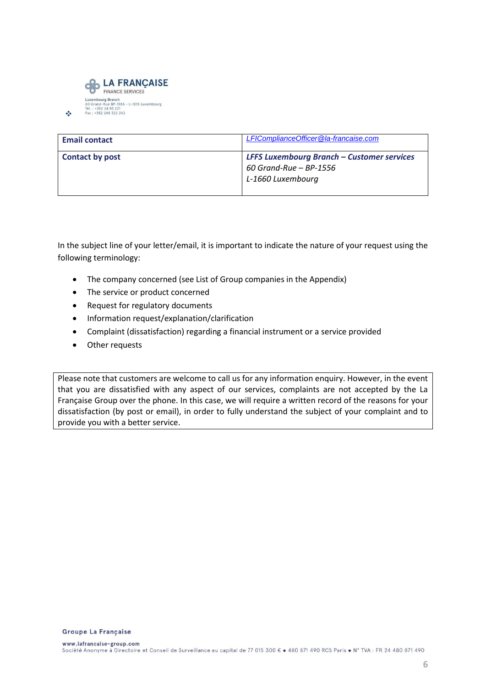

❖

| <b>Email contact</b> | LFIComplianceOfficer@la-francaise.com                                                              |
|----------------------|----------------------------------------------------------------------------------------------------|
| Contact by post      | <b>LFFS Luxembourg Branch - Customer services</b><br>$60$ Grand-Rue – BP-1556<br>L-1660 Luxembourg |

In the subject line of your letter/email, it is important to indicate the nature of your request using the following terminology:

- The company concerned (see List of Group companies in the Appendix)
- The service or product concerned
- Request for regulatory documents
- Information request/explanation/clarification
- Complaint (dissatisfaction) regarding a financial instrument or a service provided
- Other requests

Please note that customers are welcome to call us for any information enquiry. However, in the event that you are dissatisfied with any aspect of our services, complaints are not accepted by the La Française Group over the phone. In this case, we will require a written record of the reasons for your dissatisfaction (by post or email), in order to fully understand the subject of your complaint and to provide you with a better service.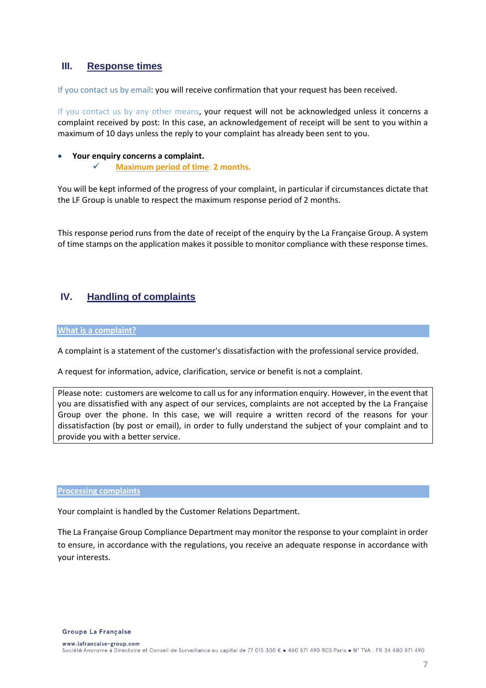# <span id="page-6-0"></span>**III. Response times**

If you contact us by email: you will receive confirmation that your request has been received.

If you contact us by any other means, your request will not be acknowledged unless it concerns a complaint received by post: In this case, an acknowledgement of receipt will be sent to you within a maximum of 10 days unless the reply to your complaint has already been sent to you.

## • **Your enquiry concerns a complaint.**

✓ **Maximum period of time**: **2 months.**

You will be kept informed of the progress of your complaint, in particular if circumstances dictate that the LF Group is unable to respect the maximum response period of 2 months.

This response period runs from the date of receipt of the enquiry by the La Française Group. A system of time stamps on the application makes it possible to monitor compliance with these response times.

# <span id="page-6-1"></span>**IV. Handling of complaints**

#### **What is a complaint?**

A complaint is a statement of the customer's dissatisfaction with the professional service provided.

A request for information, advice, clarification, service or benefit is not a complaint.

Please note: customers are welcome to call us for any information enquiry. However, in the event that you are dissatisfied with any aspect of our services, complaints are not accepted by the La Française Group over the phone. In this case, we will require a written record of the reasons for your dissatisfaction (by post or email), in order to fully understand the subject of your complaint and to provide you with a better service.

#### **Processing complaints**

Your complaint is handled by the Customer Relations Department.

The La Française Group Compliance Department may monitor the response to your complaint in order to ensure, in accordance with the regulations, you receive an adequate response in accordance with your interests.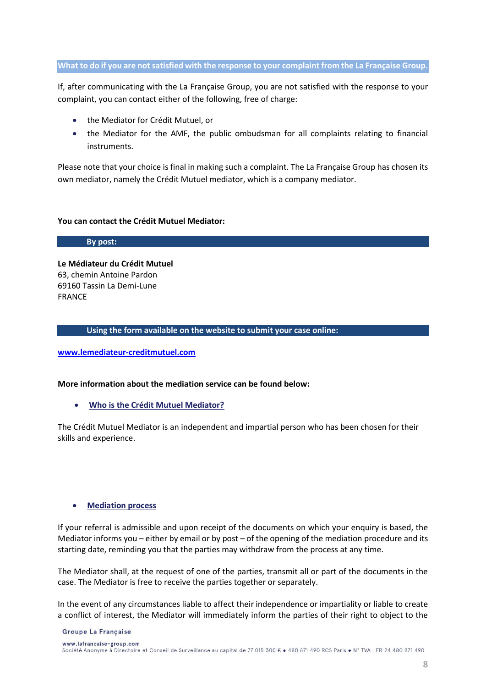## **What to do if you are not satisfied with the response to your complaint from the La Française Group.**

If, after communicating with the La Française Group, you are not satisfied with the response to your complaint, you can contact either of the following, free of charge:

- the Mediator for Crédit Mutuel, or
- the Mediator for the AMF, the public ombudsman for all complaints relating to financial instruments.

Please note that your choice is final in making such a complaint. The La Française Group has chosen its own mediator, namely the Crédit Mutuel mediator, which is a company mediator.

## **You can contact the Crédit Mutuel Mediator:**

**By post:**

**Le Médiateur du Crédit Mutuel**  63, chemin Antoine Pardon 69160 Tassin La Demi-Lune FRANCE

### **Using the form available on the website to submit your case online:**

**[www.lemediateur-creditmutuel.com](http://www.lemediateur-creditmutuel.com/)**

## **More information about the mediation service can be found below:**

• **Who is the Crédit Mutuel Mediator?** 

The Crédit Mutuel Mediator is an independent and impartial person who has been chosen for their skills and experience.

## • **Mediation process**

If your referral is admissible and upon receipt of the documents on which your enquiry is based, the Mediator informs you – either by email or by post – of the opening of the mediation procedure and its starting date, reminding you that the parties may withdraw from the process at any time.

The Mediator shall, at the request of one of the parties, transmit all or part of the documents in the case. The Mediator is free to receive the parties together or separately.

In the event of any circumstances liable to affect their independence or impartiality or liable to create a conflict of interest, the Mediator will immediately inform the parties of their right to object to the

#### **Groupe La Francaise**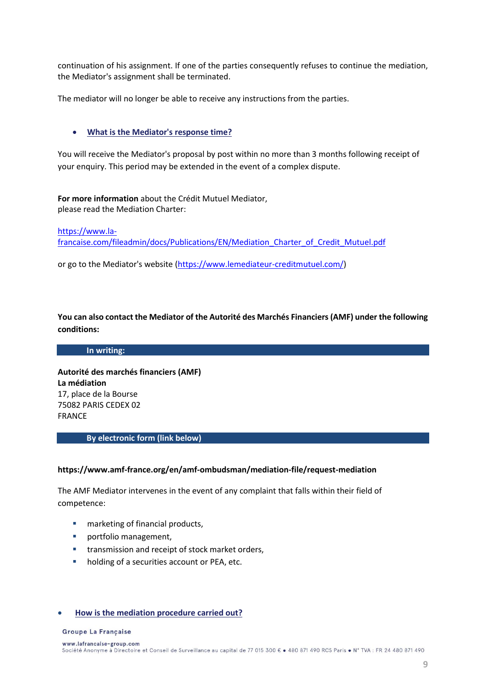continuation of his assignment. If one of the parties consequently refuses to continue the mediation, the Mediator's assignment shall be terminated.

The mediator will no longer be able to receive any instructions from the parties.

## • **What is the Mediator's response time?**

You will receive the Mediator's proposal by post within no more than 3 months following receipt of your enquiry. This period may be extended in the event of a complex dispute.

**For more information** about the Crédit Mutuel Mediator, please read the Mediation Charter:

[https://www.la-](Mediation%20Charter%20of%20Crédit%20Mutuel.docx)

[francaise.com/fileadmin/docs/Publications/EN/Mediation\\_Charter\\_of\\_Credit\\_Mutuel.pdf](Mediation%20Charter%20of%20Crédit%20Mutuel.docx)

or go to the Mediator's website [\(https://www.lemediateur-creditmutuel.com/\)](https://www.lemediateur-creditmutuel.com/)

**You can also contact the Mediator of the Autorité des Marchés Financiers (AMF) under the following conditions:** 

## **In writing:**

**Autorité des marchés financiers (AMF) La médiation** 17, place de la Bourse 75082 PARIS CEDEX 02 FRANCE

#### **By electronic form (link below)**

#### **https://www.amf-france.org/en/amf-ombudsman/mediation-file/request-mediation**

The AMF Mediator intervenes in the event of any complaint that falls within their field of competence:

- marketing of financial products,
- portfolio management,
- **■** transmission and receipt of stock market orders,
- holding of a securities account or PEA, etc.

#### • **How is the mediation procedure carried out?**

#### **Groupe La Francaise**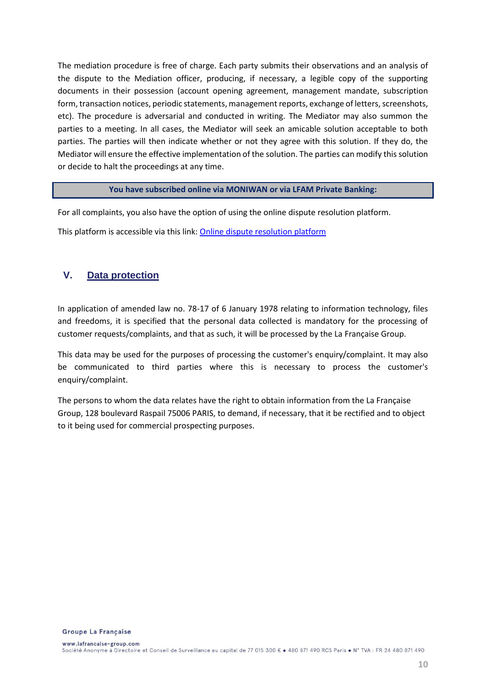The mediation procedure is free of charge. Each party submits their observations and an analysis of the dispute to the Mediation officer, producing, if necessary, a legible copy of the supporting documents in their possession (account opening agreement, management mandate, subscription form, transaction notices, periodic statements, management reports, exchange of letters, screenshots, etc). The procedure is adversarial and conducted in writing. The Mediator may also summon the parties to a meeting. In all cases, the Mediator will seek an amicable solution acceptable to both parties. The parties will then indicate whether or not they agree with this solution. If they do, the Mediator will ensure the effective implementation of the solution. The parties can modify this solution or decide to halt the proceedings at any time.

### **You have subscribed online via MONIWAN or via LFAM Private Banking:**

For all complaints, you also have the option of using the online dispute resolution platform.

This platform is accessible via this link: [Online dispute resolution platform](https://webgate.ec.europa.eu/odr/main/?event=main.home.show&lng=FR)

# <span id="page-9-0"></span>**V. Data protection**

In application of amended law no. 78-17 of 6 January 1978 relating to information technology, files and freedoms, it is specified that the personal data collected is mandatory for the processing of customer requests/complaints, and that as such, it will be processed by the La Française Group.

This data may be used for the purposes of processing the customer's enquiry/complaint. It may also be communicated to third parties where this is necessary to process the customer's enquiry/complaint.

The persons to whom the data relates have the right to obtain information from the La Française Group, 128 boulevard Raspail 75006 PARIS, to demand, if necessary, that it be rectified and to object to it being used for commercial prospecting purposes.